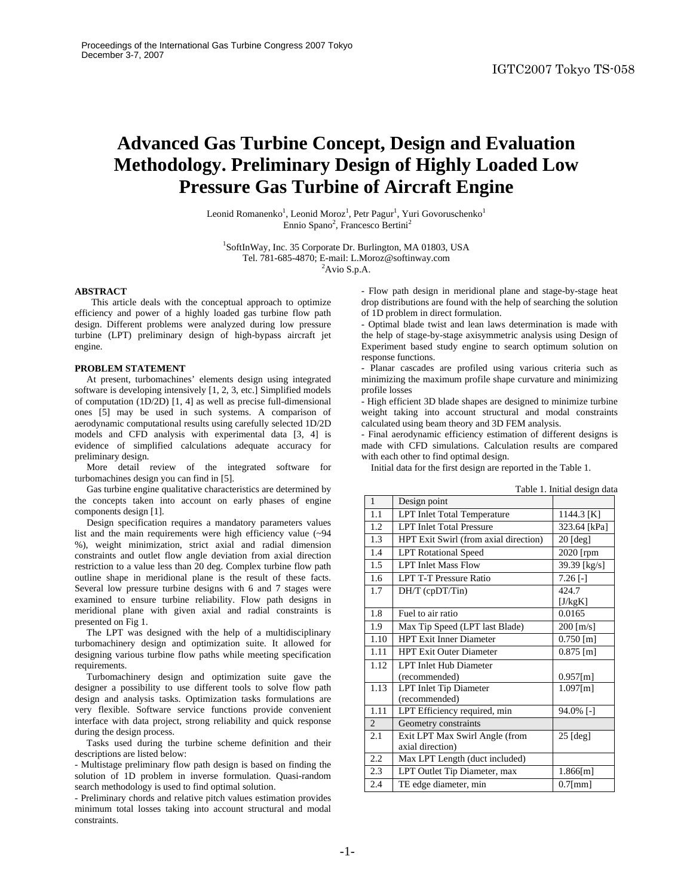# **Advanced Gas Turbine Concept, Design and Evaluation Methodology. Preliminary Design of Highly Loaded Low Pressure Gas Turbine of Aircraft Engine**

Leonid Romanenko<sup>1</sup>, Leonid Moroz<sup>1</sup>, Petr Pagur<sup>1</sup>, Yuri Govoruschenko<sup>1</sup> Ennio Spano<sup>2</sup>, Francesco Bertini<sup>2</sup>

<sup>1</sup>SoftInWay, Inc. 35 Corporate Dr. Burlington, MA 01803, USA Tel. 781-685-4870; E-mail: L.Moroz@softinway.com 2

 ${}^{2}$ Avio S.p.A.

## **ABSTRACT**

 This article deals with the conceptual approach to optimize efficiency and power of a highly loaded gas turbine flow path design. Different problems were analyzed during low pressure turbine (LPT) preliminary design of high-bypass aircraft jet engine.

## **PROBLEM STATEMENT**

 At present, turbomachines' elements design using integrated software is developing intensively [1, 2, 3, etc.] Simplified models of computation (1D/2D) [1, 4] as well as precise full-dimensional ones [5] may be used in such systems. A comparison of aerodynamic computational results using carefully selected 1D/2D models and CFD analysis with experimental data [3, 4] is evidence of simplified calculations adequate accuracy for preliminary design.

 More detail review of the integrated software for turbomachines design you can find in [5].

 Gas turbine engine qualitative characteristics are determined by the concepts taken into account on early phases of engine components design [1].

 Design specification requires a mandatory parameters values list and the main requirements were high efficiency value (~94 %), weight minimization, strict axial and radial dimension constraints and outlet flow angle deviation from axial direction restriction to a value less than 20 deg. Complex turbine flow path outline shape in meridional plane is the result of these facts. Several low pressure turbine designs with 6 and 7 stages were examined to ensure turbine reliability. Flow path designs in meridional plane with given axial and radial constraints is presented on Fig 1.

 The LPT was designed with the help of a multidisciplinary turbomachinery design and optimization suite. It allowed for designing various turbine flow paths while meeting specification requirements.

 Turbomachinery design and optimization suite gave the designer a possibility to use different tools to solve flow path design and analysis tasks. Optimization tasks formulations are very flexible. Software service functions provide convenient interface with data project, strong reliability and quick response during the design process.

 Tasks used during the turbine scheme definition and their descriptions are listed below:

- Multistage preliminary flow path design is based on finding the solution of 1D problem in inverse formulation. Quasi-random search methodology is used to find optimal solution.

- Preliminary chords and relative pitch values estimation provides minimum total losses taking into account structural and modal constraints.

- Flow path design in meridional plane and stage-by-stage heat drop distributions are found with the help of searching the solution of 1D problem in direct formulation.

- Optimal blade twist and lean laws determination is made with the help of stage-by-stage axisymmetric analysis using Design of Experiment based study engine to search optimum solution on response functions.

- Planar cascades are profiled using various criteria such as minimizing the maximum profile shape curvature and minimizing profile losses

- High efficient 3D blade shapes are designed to minimize turbine weight taking into account structural and modal constraints calculated using beam theory and 3D FEM analysis.

- Final aerodynamic efficiency estimation of different designs is made with CFD simulations. Calculation results are compared with each other to find optimal design.

Initial data for the first design are reported in the Table 1.

| $\mathbf{1}$      | Design point                          | raoic 1. milliar acsign data |  |  |
|-------------------|---------------------------------------|------------------------------|--|--|
| 1.1               | <b>LPT</b> Inlet Total Temperature    | 1144.3 [K]                   |  |  |
| 1.2               | <b>LPT</b> Inlet Total Pressure       | 323.64 [kPa]                 |  |  |
| 1.3               | HPT Exit Swirl (from axial direction) | $20$ [deg]                   |  |  |
| 1.4               | <b>LPT</b> Rotational Speed           | 2020 [rpm                    |  |  |
| 1.5               | <b>LPT</b> Inlet Mass Flow            | 39.39 [kg/s]                 |  |  |
| 1.6               | <b>LPT T-T Pressure Ratio</b>         | $7.26$ [-]                   |  |  |
| 1.7               | $DH/T$ (cp $DT/T$ in)                 | 424.7                        |  |  |
|                   |                                       | [J/kgK]                      |  |  |
| 1.8               | Fuel to air ratio                     | 0.0165                       |  |  |
| 1.9               | Max Tip Speed (LPT last Blade)        | $200$ [m/s]                  |  |  |
| 1.10              | <b>HPT</b> Exit Inner Diameter        | $0.750$ [m]                  |  |  |
| 1.11              | <b>HPT Exit Outer Diameter</b>        | $0.875$ [m]                  |  |  |
| 1.12              | <b>LPT</b> Inlet Hub Diameter         |                              |  |  |
|                   | (recommended)                         | $0.957$ [m]                  |  |  |
| 1.13              | <b>LPT</b> Inlet Tip Diameter         | $1.097$ [m]                  |  |  |
|                   | (recommended)                         |                              |  |  |
| $\overline{1.11}$ | LPT Efficiency required, min          | 94.0% [-]                    |  |  |
| $\overline{2}$    | Geometry constraints                  |                              |  |  |
| 2.1               | Exit LPT Max Swirl Angle (from        | $25$ [deg]                   |  |  |
|                   | axial direction)                      |                              |  |  |
| 2.2               | Max LPT Length (duct included)        |                              |  |  |
| 2.3               | LPT Outlet Tip Diameter, max          | $1.866$ [m]                  |  |  |
| 2.4               | TE edge diameter, min                 | $0.7$ [mm]                   |  |  |

### Table 1. Initial design data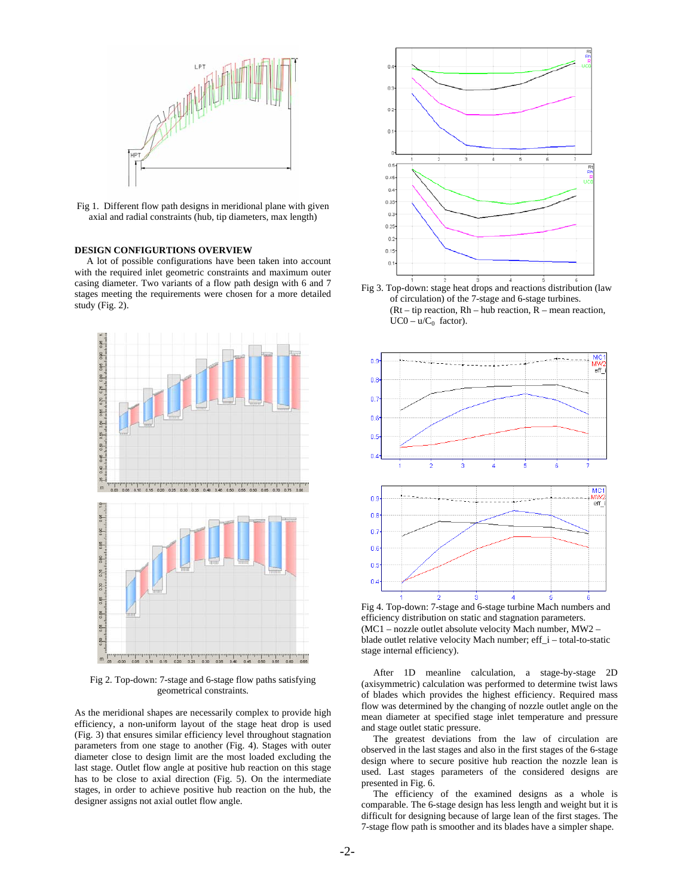

Fig 1. Different flow path designs in meridional plane with given axial and radial constraints (hub, tip diameters, max length)

# **DESIGN CONFIGURTIONS OVERVIEW**

 A lot of possible configurations have been taken into account with the required inlet geometric constraints and maximum outer casing diameter. Two variants of a flow path design with 6 and 7 stages meeting the requirements were chosen for a more detailed study (Fig. 2).



Fig 2. Top-down: 7-stage and 6-stage flow paths satisfying geometrical constraints.

As the meridional shapes are necessarily complex to provide high efficiency, a non-uniform layout of the stage heat drop is used (Fig. 3) that ensures similar efficiency level throughout stagnation parameters from one stage to another (Fig. 4). Stages with outer diameter close to design limit are the most loaded excluding the last stage. Outlet flow angle at positive hub reaction on this stage has to be close to axial direction (Fig. 5). On the intermediate stages, in order to achieve positive hub reaction on the hub, the designer assigns not axial outlet flow angle.



Fig 3. Top-down: stage heat drops and reactions distribution (law of circulation) of the 7-stage and 6-stage turbines. (Rt – tip reaction, Rh – hub reaction, R – mean reaction,  $UC0 - u/C_0$  factor).



Fig 4. Top-down: 7-stage and 6-stage turbine Mach numbers and efficiency distribution on static and stagnation parameters. (MC1 – nozzle outlet absolute velocity Mach number, MW2 – blade outlet relative velocity Mach number; eff\_i – total-to-static stage internal efficiency).

 After 1D meanline calculation, a stage-by-stage 2D (axisymmetric) calculation was performed to determine twist laws of blades which provides the highest efficiency. Required mass flow was determined by the changing of nozzle outlet angle on the mean diameter at specified stage inlet temperature and pressure and stage outlet static pressure.

 The greatest deviations from the law of circulation are observed in the last stages and also in the first stages of the 6-stage design where to secure positive hub reaction the nozzle lean is used. Last stages parameters of the considered designs are presented in Fig. 6.

 The efficiency of the examined designs as a whole is comparable. The 6-stage design has less length and weight but it is difficult for designing because of large lean of the first stages. The 7-stage flow path is smoother and its blades have a simpler shape.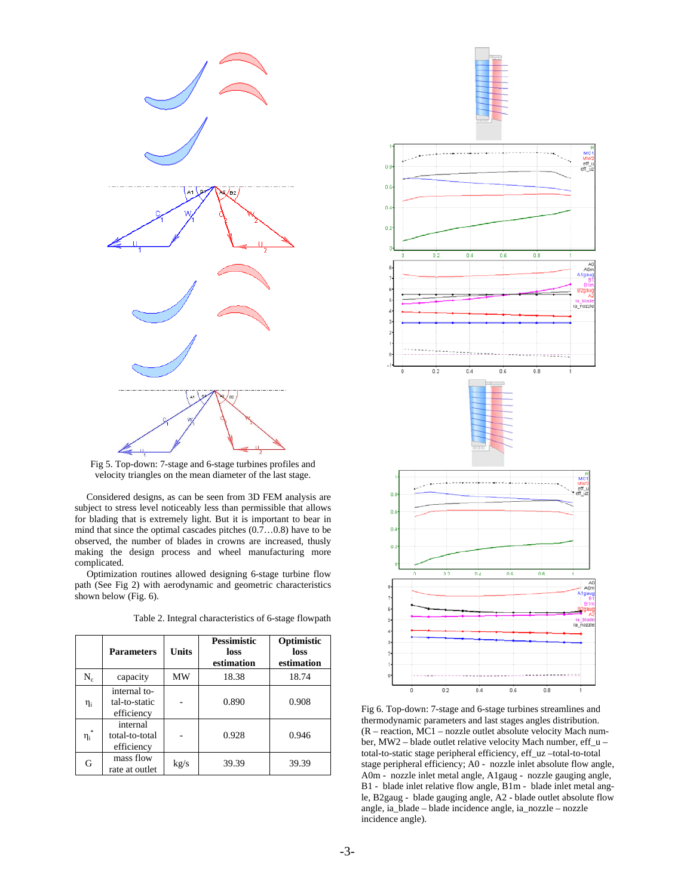

Fig 5. Top-down: 7-stage and 6-stage turbines profiles and velocity triangles on the mean diameter of the last stage.

 Considered designs, as can be seen from 3D FEM analysis are subject to stress level noticeably less than permissible that allows for blading that is extremely light. But it is important to bear in mind that since the optimal cascades pitches  $(0.7...0.8)$  have to be observed, the number of blades in crowns are increased, thusly making the design process and wheel manufacturing more complicated.

 Optimization routines allowed designing 6-stage turbine flow path (See Fig 2) with aerodynamic and geometric characteristics shown below (Fig. 6).

Table 2. Integral characteristics of 6-stage flowpath

|                           | <b>Parameters</b>                           | Units | <b>Pessimistic</b><br>loss<br>estimation | Optimistic<br>loss<br>estimation |
|---------------------------|---------------------------------------------|-------|------------------------------------------|----------------------------------|
| $\rm N_c$                 | capacity                                    | MW    | 18.38                                    | 18.74                            |
| $\eta_i$                  | internal to-<br>tal-to-static<br>efficiency |       | 0.890                                    | 0.908                            |
| $\frac{1}{2}$<br>$\eta_i$ | internal<br>total-to-total<br>efficiency    |       | 0.928                                    | 0.946                            |
| G                         | mass flow<br>rate at outlet                 | kg/s  | 39.39                                    | 39.39                            |





Fig 6. Top-down: 7-stage and 6-stage turbines streamlines and thermodynamic parameters and last stages angles distribution. (R – reaction, MC1 – nozzle outlet absolute velocity Mach number, MW2 – blade outlet relative velocity Mach number, eff\_u – total-to-static stage peripheral efficiency, eff\_uz –total-to-total stage peripheral efficiency; A0 - nozzle inlet absolute flow angle, A0m - nozzle inlet metal angle, A1gaug - nozzle gauging angle, B1 - blade inlet relative flow angle, B1m - blade inlet metal angle, B2gaug - blade gauging angle, A2 - blade outlet absolute flow angle, ia\_blade – blade incidence angle, ia\_nozzle – nozzle incidence angle).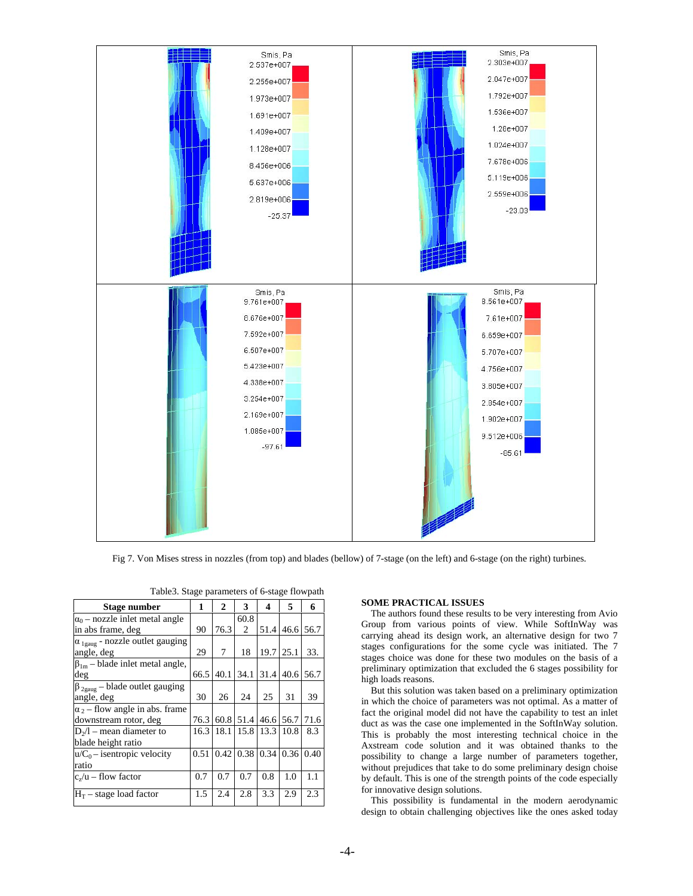

Fig 7. Von Mises stress in nozzles (from top) and blades (bellow) of 7-stage (on the left) and 6-stage (on the right) turbines.

| Stage number                                     | 1    | $\mathbf{2}$ | 3                   | 4    | 5    | 6    |
|--------------------------------------------------|------|--------------|---------------------|------|------|------|
| $\alpha_0$ – nozzle inlet metal angle            |      |              | 60.8                |      |      |      |
| in abs frame, deg                                | 90   | 76.3         | 2                   | 51.4 | 46.6 | 56.7 |
| $\alpha_{1\text{gauge}}$ - nozzle outlet gauging |      |              |                     |      |      |      |
| angle, deg                                       | 29   | 7            | 18                  | 19.7 | 25.1 | 33.  |
| $\beta_{1m}$ – blade inlet metal angle,          |      |              |                     |      |      |      |
| deg                                              | 66.5 | 40.1         | 34.1                | 31.4 | 40.6 | 56.7 |
| $\beta_{2\text{gauge}}$ – blade outlet gauging   |      |              |                     |      |      |      |
| angle, deg                                       | 30   | 26           | 24                  | 25   | 31   | 39   |
| $\alpha_2$ – flow angle in abs. frame            |      |              |                     |      |      |      |
| downstream rotor, deg                            | 76.3 |              | 60.8 51.4 46.6 56.7 |      |      | 71.6 |
| $D_2/l$ – mean diameter to                       | 16.3 | 18.1         | 15.8 13.3           |      | 10.8 | 8.3  |
| blade height ratio                               |      |              |                     |      |      |      |
| $u/C_0$ – isentropic velocity                    | 0.51 | 0.42         | 0.38                | 0.34 | 0.36 | 0.40 |
| ratio                                            |      |              |                     |      |      |      |
| $c_{\nu}/u$ – flow factor                        | 0.7  | 0.7          | 0.7                 | 0.8  | 1.0  | 1.1  |
| $H_T$ – stage load factor                        | 1.5  | 2.4          | 2.8                 | 3.3  | 2.9  | 2.3  |

| Table 3. Stage parameters of 6-stage flowpath |  |  |  |
|-----------------------------------------------|--|--|--|
|                                               |  |  |  |

## **SOME PRACTICAL ISSUES**

The authors found these results to be very interesting from Avio Group from various points of view. While SoftInWay was carrying ahead its design work, an alternative design for two 7 stages configurations for the some cycle was initiated. The 7 stages choice was done for these two modules on the basis of a preliminary optimization that excluded the 6 stages possibility for high loads reasons.

But this solution was taken based on a preliminary optimization in which the choice of parameters was not optimal. As a matter of fact the original model did not have the capability to test an inlet duct as was the case one implemented in the SoftInWay solution. This is probably the most interesting technical choice in the Axstream code solution and it was obtained thanks to the possibility to change a large number of parameters together, without prejudices that take to do some preliminary design choise by default. This is one of the strength points of the code especially for innovative design solutions.

This possibility is fundamental in the modern aerodynamic design to obtain challenging objectives like the ones asked today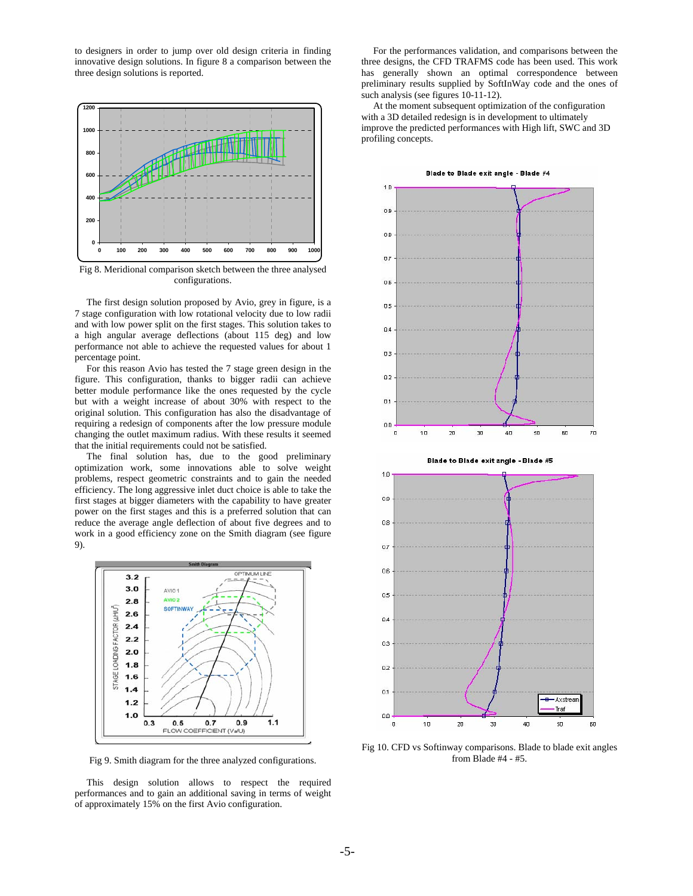to designers in order to jump over old design criteria in finding innovative design solutions. In figure 8 a comparison between the three design solutions is reported.



Fig 8. Meridional comparison sketch between the three analysed configurations.

 The first design solution proposed by Avio, grey in figure, is a 7 stage configuration with low rotational velocity due to low radii and with low power split on the first stages. This solution takes to a high angular average deflections (about 115 deg) and low performance not able to achieve the requested values for about 1 percentage point.

 For this reason Avio has tested the 7 stage green design in the figure. This configuration, thanks to bigger radii can achieve better module performance like the ones requested by the cycle but with a weight increase of about 30% with respect to the original solution. This configuration has also the disadvantage of requiring a redesign of components after the low pressure module changing the outlet maximum radius. With these results it seemed that the initial requirements could not be satisfied.

 The final solution has, due to the good preliminary optimization work, some innovations able to solve weight problems, respect geometric constraints and to gain the needed efficiency. The long aggressive inlet duct choice is able to take the first stages at bigger diameters with the capability to have greater power on the first stages and this is a preferred solution that can reduce the average angle deflection of about five degrees and to work in a good efficiency zone on the Smith diagram (see figure 9).



Fig 9. Smith diagram for the three analyzed configurations.

 This design solution allows to respect the required performances and to gain an additional saving in terms of weight of approximately 15% on the first Avio configuration.

 For the performances validation, and comparisons between the three designs, the CFD TRAFMS code has been used. This work has generally shown an optimal correspondence between preliminary results supplied by SoftInWay code and the ones of such analysis (see figures 10-11-12).

 At the moment subsequent optimization of the configuration with a 3D detailed redesign is in development to ultimately improve the predicted performances with High lift, SWC and 3D profiling concepts.



Fig 10. CFD vs Softinway comparisons. Blade to blade exit angles from Blade #4 - #5.